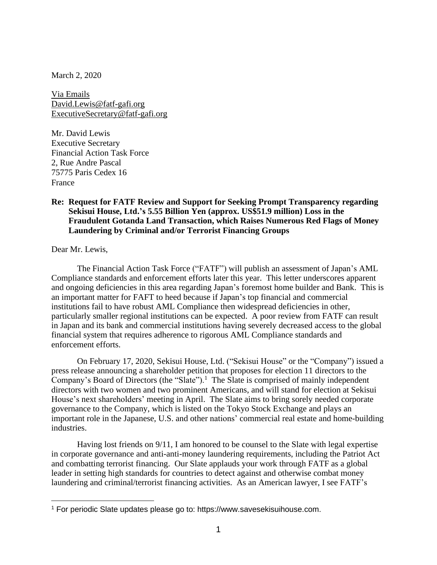March 2, 2020

Via Emails David.Lewis@fatf-gafi.org ExecutiveSecretary@fatf-gafi.org

Mr. David Lewis Executive Secretary Financial Action Task Force 2, Rue Andre Pascal 75775 Paris Cedex 16 France

## **Re: Request for FATF Review and Support for Seeking Prompt Transparency regarding Sekisui House, Ltd.'s 5.55 Billion Yen (approx. US\$51.9 million) Loss in the Fraudulent Gotanda Land Transaction, which Raises Numerous Red Flags of Money Laundering by Criminal and/or Terrorist Financing Groups**

Dear Mr. Lewis,

The Financial Action Task Force ("FATF") will publish an assessment of Japan's AML Compliance standards and enforcement efforts later this year. This letter underscores apparent and ongoing deficiencies in this area regarding Japan's foremost home builder and Bank. This is an important matter for FAFT to heed because if Japan's top financial and commercial institutions fail to have robust AML Compliance then widespread deficiencies in other, particularly smaller regional institutions can be expected. A poor review from FATF can result in Japan and its bank and commercial institutions having severely decreased access to the global financial system that requires adherence to rigorous AML Compliance standards and enforcement efforts.

On February 17, 2020, Sekisui House, Ltd. ("Sekisui House" or the "Company") issued a press release announcing a shareholder petition that proposes for election 11 directors to the Company's Board of Directors (the "Slate").<sup>1</sup> The Slate is comprised of mainly independent directors with two women and two prominent Americans, and will stand for election at Sekisui House's next shareholders' meeting in April. The Slate aims to bring sorely needed corporate governance to the Company, which is listed on the Tokyo Stock Exchange and plays an important role in the Japanese, U.S. and other nations' commercial real estate and home-building industries.

Having lost friends on 9/11, I am honored to be counsel to the Slate with legal expertise in corporate governance and anti-anti-money laundering requirements, including the Patriot Act and combatting terrorist financing. Our Slate applauds your work through FATF as a global leader in setting high standards for countries to detect against and otherwise combat money laundering and criminal/terrorist financing activities. As an American lawyer, I see FATF's

<sup>1</sup> For periodic Slate updates please go to: https://www.savesekisuihouse.com.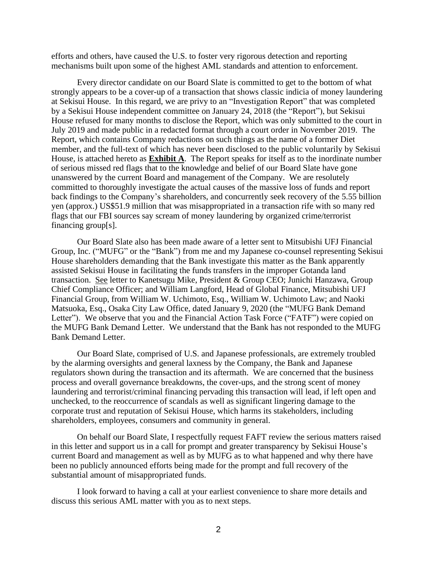efforts and others, have caused the U.S. to foster very rigorous detection and reporting mechanisms built upon some of the highest AML standards and attention to enforcement.

Every director candidate on our Board Slate is committed to get to the bottom of what strongly appears to be a cover-up of a transaction that shows classic indicia of money laundering at Sekisui House. In this regard, we are privy to an "Investigation Report" that was completed by a Sekisui House independent committee on January 24, 2018 (the "Report"), but Sekisui House refused for many months to disclose the Report, which was only submitted to the court in July 2019 and made public in a redacted format through a court order in November 2019. The Report, which contains Company redactions on such things as the name of a former Diet member, and the full-text of which has never been disclosed to the public voluntarily by Sekisui House, is attached hereto as **Exhibit A**. The Report speaks for itself as to the inordinate number of serious missed red flags that to the knowledge and belief of our Board Slate have gone unanswered by the current Board and management of the Company. We are resolutely committed to thoroughly investigate the actual causes of the massive loss of funds and report back findings to the Company's shareholders, and concurrently seek recovery of the 5.55 billion yen (approx.) US\$51.9 million that was misappropriated in a transaction rife with so many red flags that our FBI sources say scream of money laundering by organized crime/terrorist financing group[s].

Our Board Slate also has been made aware of a letter sent to Mitsubishi UFJ Financial Group, Inc. ("MUFG" or the "Bank") from me and my Japanese co-counsel representing Sekisui House shareholders demanding that the Bank investigate this matter as the Bank apparently assisted Sekisui House in facilitating the funds transfers in the improper Gotanda land transaction. See letter to Kanetsugu Mike, President & Group CEO; Junichi Hanzawa, Group Chief Compliance Officer; and William Langford, Head of Global Finance, Mitsubishi UFJ Financial Group, from William W. Uchimoto, Esq., William W. Uchimoto Law; and Naoki Matsuoka, Esq., Osaka City Law Office, dated January 9, 2020 (the "MUFG Bank Demand Letter"). We observe that you and the Financial Action Task Force ("FATF") were copied on the MUFG Bank Demand Letter. We understand that the Bank has not responded to the MUFG Bank Demand Letter.

Our Board Slate, comprised of U.S. and Japanese professionals, are extremely troubled by the alarming oversights and general laxness by the Company, the Bank and Japanese regulators shown during the transaction and its aftermath. We are concerned that the business process and overall governance breakdowns, the cover-ups, and the strong scent of money laundering and terrorist/criminal financing pervading this transaction will lead, if left open and unchecked, to the reoccurrence of scandals as well as significant lingering damage to the corporate trust and reputation of Sekisui House, which harms its stakeholders, including shareholders, employees, consumers and community in general.

On behalf our Board Slate, I respectfully request FAFT review the serious matters raised in this letter and support us in a call for prompt and greater transparency by Sekisui House's current Board and management as well as by MUFG as to what happened and why there have been no publicly announced efforts being made for the prompt and full recovery of the substantial amount of misappropriated funds.

I look forward to having a call at your earliest convenience to share more details and discuss this serious AML matter with you as to next steps.